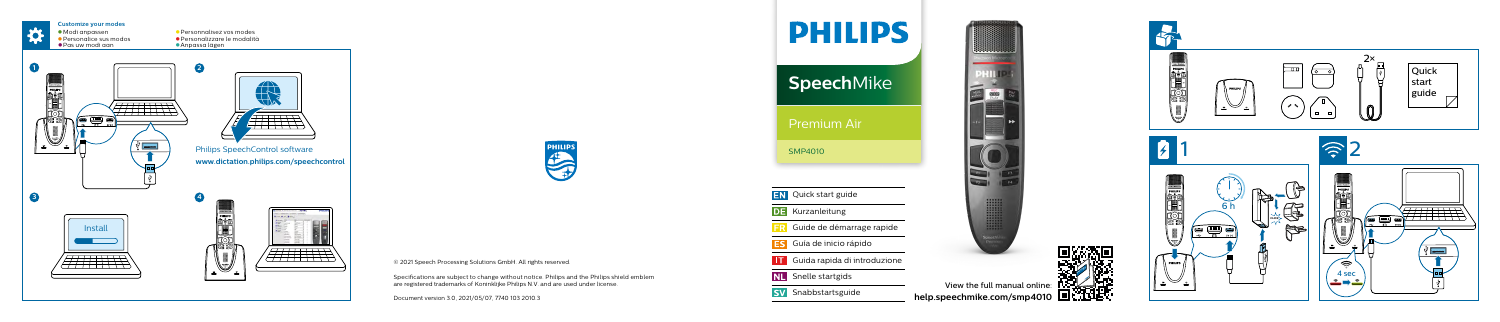

View the full manual online:<br>Speechmike.com/smp4010 **[help.speechmike.com/](http://help.speechmike.com/smp4010)smp4010**

| HILIP                               |
|-------------------------------------|
| <b>SpeechMike</b>                   |
| Premium Air                         |
| <b>SMP4010</b>                      |
|                                     |
| <b>EN</b> Quick start guide         |
| <b>DE</b> Kurzanleitung             |
| <b>FR</b> Guide de démarrage rapide |
| Guía de inicio rápido               |
| Guida rapida di introduzione        |
| <b>NL</b> Snelle startgids          |
| <b>SV</b> Snabbstartsguide          |
|                                     |



© 2021 Speech Processing Solutions GmbH. All rights reserved.

Specifications are subject to change without notice. Philips and the Philips shield emblem are registered trademarks of Koninklijke Philips N.V. and are used under license.

Document version 3.0, 2021/05/07, 7740 103 2010.3